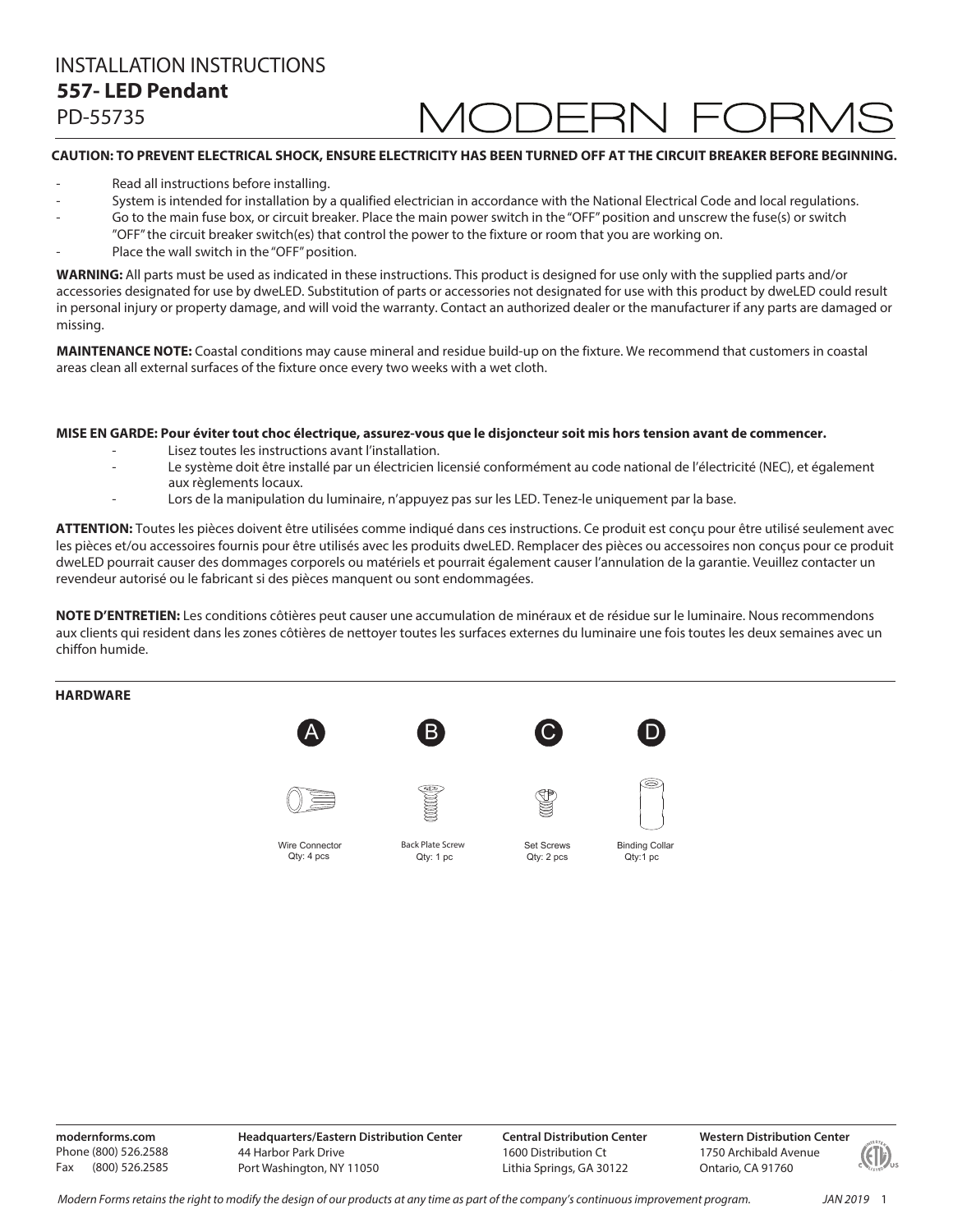# INSTALLATION INSTRUCTIONS **148– LED Wall Sconce 557- LED Pendant**

PD-55735

### **CAUTION: TO PREVENT ELECTRICAL SHOCK, ENSURE ELECTRICITY HAS BEEN TURNED OFF AT THE CIRCUIT BREAKER BEFORE BEGINNING.**

- Read all instructions before installing.
- System is intended for installation by a qualified electrician in accordance with the National Electrical Code and local regulations.
- Go to the main fuse box, or circuit breaker. Place the main power switch in the "OFF" position and unscrew the fuse(s) or switch
- "OFF" the circuit breaker switch(es) that control the power to the fixture or room that you are working on.
- Place the wall switch in the "OFF" position.

**WARNING:** All parts must be used as indicated in these instructions. This product is designed for use only with the supplied parts and/or accessories designated for use by dweLED. Substitution of parts or accessories not designated for use with this product by dweLED could result in personal injury or property damage, and will void the warranty. Contact an authorized dealer or the manufacturer if any parts are damaged or missing.

**MAINTENANCE NOTE:** Coastal conditions may cause mineral and residue build-up on the fixture. We recommend that customers in coastal areas clean all external surfaces of the fixture once every two weeks with a wet cloth.

### **MISE EN GARDE: Pour éviter tout choc électrique, assurez-vous que le disjoncteur soit mis hors tension avant de commencer.**

- Lisez toutes les instructions avant l'installation.
- Le système doit être installé par un électricien licensié conformément au code national de l'électricité (NEC), et également aux règlements locaux.
- Lors de la manipulation du luminaire, n'appuyez pas sur les LED. Tenez-le uniquement par la base.

**ATTENTION:** Toutes les pièces doivent être utilisées comme indiqué dans ces instructions. Ce produit est conçu pour être utilisé seulement avec les pièces et/ou accessoires fournis pour être utilisés avec les produits dweLED. Remplacer des pièces ou accessoires non conçus pour ce produit dweLED pourrait causer des dommages corporels ou matériels et pourrait également causer l'annulation de la garantie. Veuillez contacter un revendeur autorisé ou le fabricant si des pièces manquent ou sont endommagées.

**NOTE D'ENTRETIEN:** Les conditions côtières peut causer une accumulation de minéraux et de résidue sur le luminaire. Nous recommendons aux clients qui resident dans les zones côtières de nettoyer toutes les surfaces externes du luminaire une fois toutes les deux semaines avec un chiffon humide.

### **HARDWARE**









Binding Collar Qty:1 pc

E

**Figure 1999** 

Wire Connector



Qty: 1 Qty: 4 pcs Qty: 1 pc Set Screws Qty: 2 pcs

**modernforms.com** Phone (800) 526.2588 Fax (800) 526.2585

**Headquarters/Eastern Distribution Center** 44 Harbor Park Drive Port Washington, NY 11050

**Central Distribution Center** 1600 Distribution Ct Lithia Springs, GA 30122

**Western Distribution Center**  1750 Archibald Avenue Ontario, CA 91760